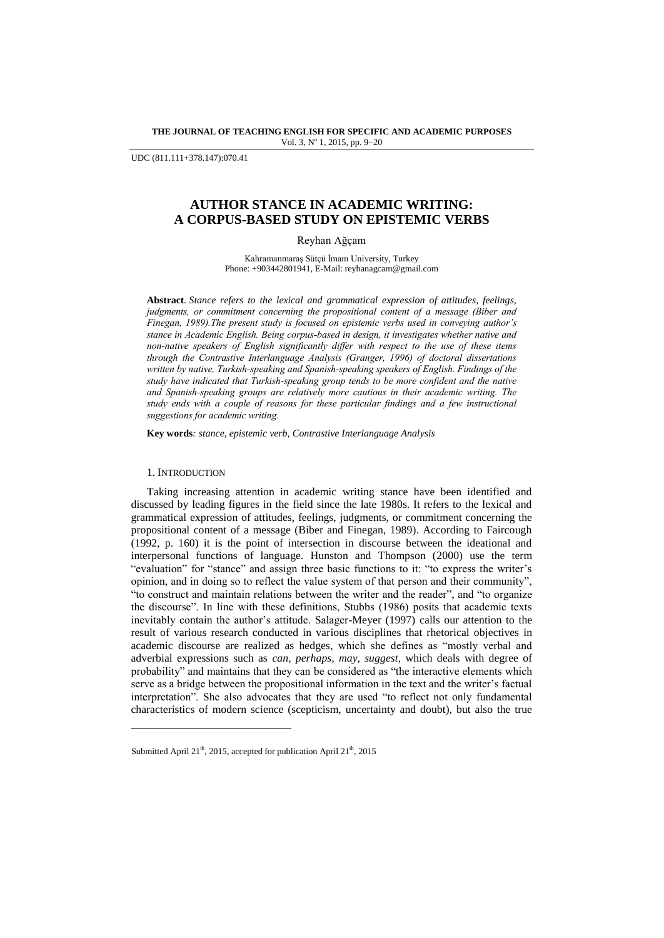**THE JOURNAL OF TEACHING ENGLISH FOR SPECIFIC AND ACADEMIC PURPOSES** Vol. 3, Nº 1, 2015, pp. 9-20

UDC (811.111+378.147):070.41

# **AUTHOR STANCE IN ACADEMIC WRITING: A CORPUS-BASED STUDY ON EPISTEMIC VERBS**

Reyhan Ağçam

Kahramanmaraş Sütçü İmam University, Turkey Phone: +903442801941, E-Mail[: reyhanagcam@gmail.com](mailto:reyhanagcam@gmail.com)

**Abstract***. Stance refers to the lexical and grammatical expression of attitudes, feelings, judgments, or commitment concerning the propositional content of a message (Biber and Finegan, 1989).The present study is focused on epistemic verbs used in conveying author's stance in Academic English. Being corpus-based in design, it investigates whether native and non-native speakers of English significantly differ with respect to the use of these items through the Contrastive Interlanguage Analysis (Granger, 1996) of doctoral dissertations written by native, Turkish-speaking and Spanish-speaking speakers of English. Findings of the study have indicated that Turkish-speaking group tends to be more confident and the native and Spanish-speaking groups are relatively more cautious in their academic writing. The study ends with a couple of reasons for these particular findings and a few instructional suggestions for academic writing.*

**Key words***: stance, epistemic verb, Contrastive Interlanguage Analysis*

# 1. INTRODUCTION

l

Taking increasing attention in academic writing stance have been identified and discussed by leading figures in the field since the late 1980s. It refers to the lexical and grammatical expression of attitudes, feelings, judgments, or commitment concerning the propositional content of a message (Biber and Finegan, 1989). According to Faircough (1992, p. 160) it is the point of intersection in discourse between the ideational and interpersonal functions of language. Hunston and Thompson (2000) use the term "evaluation" for "stance" and assign three basic functions to it: "to express the writer's opinion, and in doing so to reflect the value system of that person and their community", "to construct and maintain relations between the writer and the reader", and "to organize the discourse". In line with these definitions, Stubbs (1986) posits that academic texts inevitably contain the author's attitude. Salager-Meyer (1997) calls our attention to the result of various research conducted in various disciplines that rhetorical objectives in academic discourse are realized as hedges, which she defines as "mostly verbal and adverbial expressions such as *can, perhaps, may, suggest*, which deals with degree of probability" and maintains that they can be considered as "the interactive elements which serve as a bridge between the propositional information in the text and the writer's factual interpretation". She also advocates that they are used "to reflect not only fundamental characteristics of modern science (scepticism, uncertainty and doubt), but also the true

Submitted April 21<sup>th</sup>, 2015, accepted for publication April 21<sup>th</sup>, 2015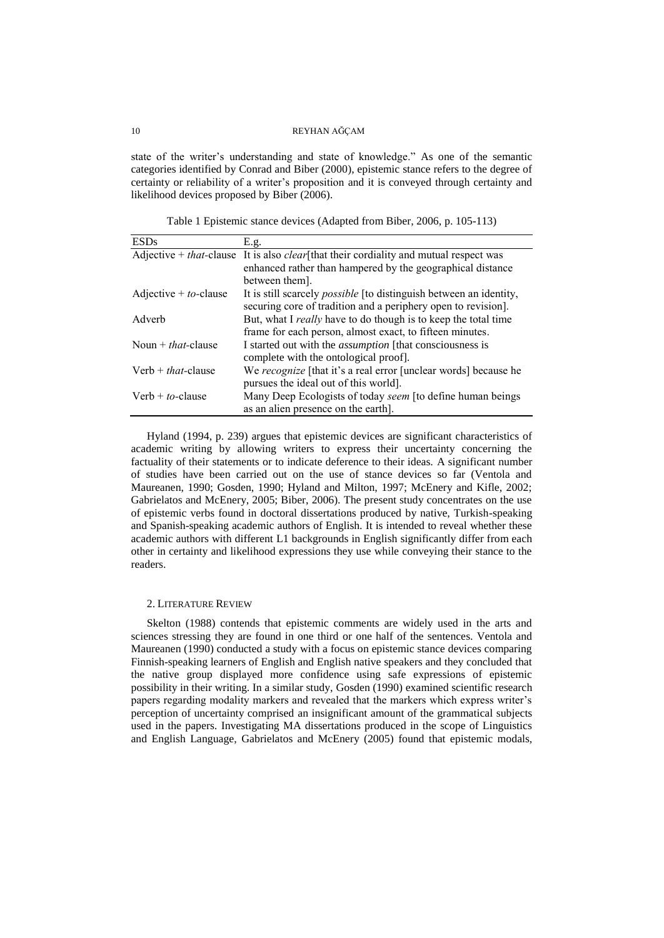state of the writer's understanding and state of knowledge." As one of the semantic categories identified by Conrad and Biber (2000), epistemic stance refers to the degree of certainty or reliability of a writer's proposition and it is conveyed through certainty and likelihood devices proposed by Biber (2006).

Table 1 Epistemic stance devices (Adapted from Biber, 2006, p. 105-113)

| <b>ESDs</b>                | E.g.                                                                                                  |
|----------------------------|-------------------------------------------------------------------------------------------------------|
|                            | Adjective + <i>that</i> -clause It is also <i>clear</i> [that their cordiality and mutual respect was |
|                            | enhanced rather than hampered by the geographical distance                                            |
|                            | between them.                                                                                         |
| Adjective + $to$ -clause   | It is still scarcely <i>possible</i> [to distinguish between an identity,                             |
|                            | securing core of tradition and a periphery open to revision].                                         |
| Adverb                     | But, what I <i>really</i> have to do though is to keep the total time                                 |
|                            | frame for each person, almost exact, to fifteen minutes.                                              |
| Noun + <i>that</i> -clause | I started out with the <i>assumption</i> [that consciousness is                                       |
|                            | complete with the ontological proof.                                                                  |
| Verb $+$ that-clause       | We recognize [that it's a real error [unclear words] because he                                       |
|                            | pursues the ideal out of this world].                                                                 |
| Verb + $to$ -clause        | Many Deep Ecologists of today seem [to define human beings]                                           |
|                            | as an alien presence on the earth.                                                                    |

Hyland (1994, p. 239) argues that epistemic devices are significant characteristics of academic writing by allowing writers to express their uncertainty concerning the factuality of their statements or to indicate deference to their ideas. A significant number of studies have been carried out on the use of stance devices so far (Ventola and Maureanen, 1990; Gosden, 1990; Hyland and Milton, 1997; McEnery and Kifle, 2002; Gabrielatos and McEnery, 2005; Biber, 2006). The present study concentrates on the use of epistemic verbs found in doctoral dissertations produced by native, Turkish-speaking and Spanish-speaking academic authors of English. It is intended to reveal whether these academic authors with different L1 backgrounds in English significantly differ from each other in certainty and likelihood expressions they use while conveying their stance to the readers.

# 2. LITERATURE REVIEW

Skelton (1988) contends that epistemic comments are widely used in the arts and sciences stressing they are found in one third or one half of the sentences. Ventola and Maureanen (1990) conducted a study with a focus on epistemic stance devices comparing Finnish-speaking learners of English and English native speakers and they concluded that the native group displayed more confidence using safe expressions of epistemic possibility in their writing. In a similar study, Gosden (1990) examined scientific research papers regarding modality markers and revealed that the markers which express writer's perception of uncertainty comprised an insignificant amount of the grammatical subjects used in the papers. Investigating MA dissertations produced in the scope of Linguistics and English Language, Gabrielatos and McEnery (2005) found that epistemic modals,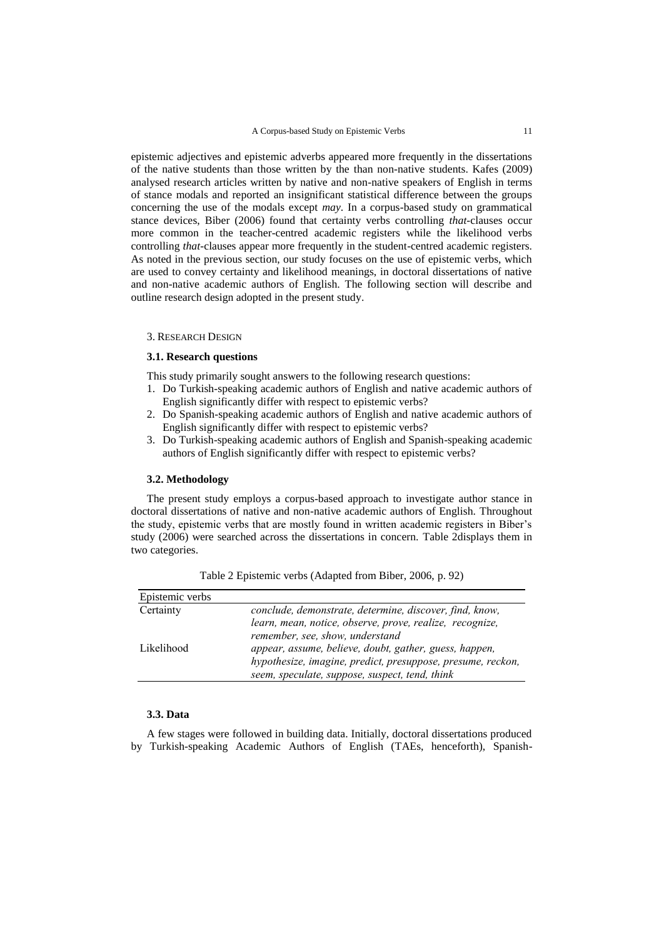epistemic adjectives and epistemic adverbs appeared more frequently in the dissertations of the native students than those written by the than non-native students. Kafes (2009) analysed research articles written by native and non-native speakers of English in terms of stance modals and reported an insignificant statistical difference between the groups concerning the use of the modals except *may*. In a corpus-based study on grammatical stance devices, Biber (2006) found that certainty verbs controlling *that-*clauses occur more common in the teacher-centred academic registers while the likelihood verbs controlling *that-*clauses appear more frequently in the student-centred academic registers. As noted in the previous section, our study focuses on the use of epistemic verbs, which are used to convey certainty and likelihood meanings, in doctoral dissertations of native and non-native academic authors of English. The following section will describe and outline research design adopted in the present study.

#### 3. RESEARCH DESIGN

# **3.1. Research questions**

This study primarily sought answers to the following research questions:

- 1. Do Turkish-speaking academic authors of English and native academic authors of English significantly differ with respect to epistemic verbs?
- 2. Do Spanish-speaking academic authors of English and native academic authors of English significantly differ with respect to epistemic verbs?
- 3. Do Turkish-speaking academic authors of English and Spanish-speaking academic authors of English significantly differ with respect to epistemic verbs?

### **3.2. Methodology**

The present study employs a corpus-based approach to investigate author stance in doctoral dissertations of native and non-native academic authors of English. Throughout the study, epistemic verbs that are mostly found in written academic registers in Biber's study (2006) were searched across the dissertations in concern. Table 2displays them in two categories.

| Epistemic verbs |                                                             |
|-----------------|-------------------------------------------------------------|
| Certainty       | conclude, demonstrate, determine, discover, find, know,     |
|                 | learn, mean, notice, observe, prove, realize, recognize,    |
|                 | remember, see, show, understand                             |
| Likelihood      | appear, assume, believe, doubt, gather, guess, happen,      |
|                 | hypothesize, imagine, predict, presuppose, presume, reckon, |
|                 | seem, speculate, suppose, suspect, tend, think              |

Table 2 Epistemic verbs (Adapted from Biber, 2006, p. 92)

# **3.3. Data**

A few stages were followed in building data. Initially, doctoral dissertations produced by Turkish-speaking Academic Authors of English (TAEs, henceforth), Spanish-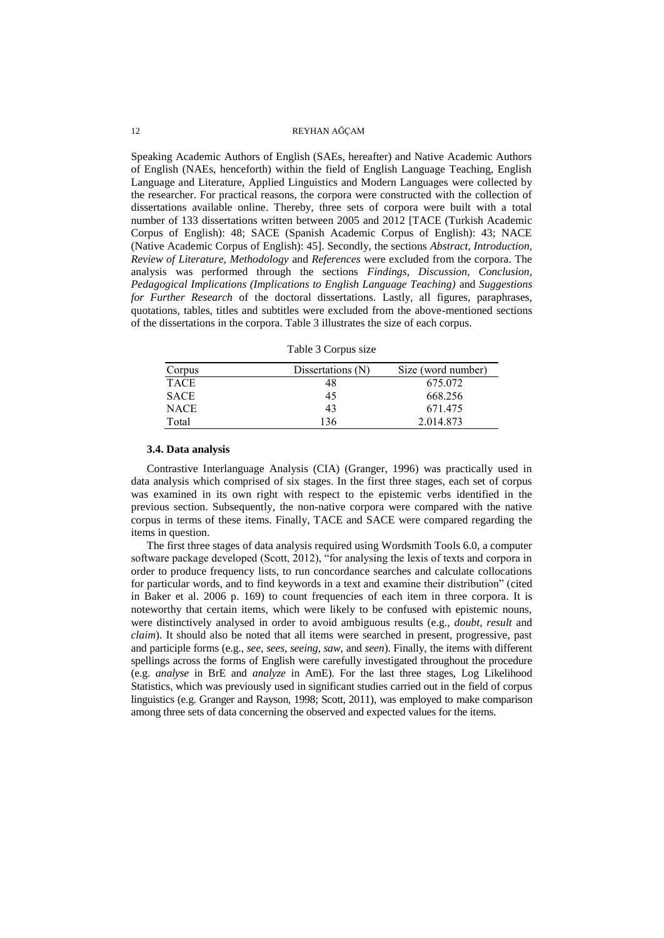Speaking Academic Authors of English (SAEs, hereafter) and Native Academic Authors of English (NAEs, henceforth) within the field of English Language Teaching, English Language and Literature, Applied Linguistics and Modern Languages were collected by the researcher. For practical reasons, the corpora were constructed with the collection of dissertations available online. Thereby, three sets of corpora were built with a total number of 133 dissertations written between 2005 and 2012 [TACE (Turkish Academic Corpus of English): 48; SACE (Spanish Academic Corpus of English): 43; NACE (Native Academic Corpus of English): 45]. Secondly, the sections *Abstract, Introduction, Review of Literature, Methodology* and *References* were excluded from the corpora. The analysis was performed through the sections *Findings, Discussion, Conclusion, Pedagogical Implications (Implications to English Language Teaching)* and *Suggestions for Further Research* of the doctoral dissertations. Lastly, all figures, paraphrases, quotations, tables, titles and subtitles were excluded from the above-mentioned sections of the dissertations in the corpora. Table 3 illustrates the size of each corpus.

Table 3 Corpus size

| Corpus      | Dissertations (N) | Size (word number) |
|-------------|-------------------|--------------------|
| <b>TACE</b> | 48                | 675.072            |
| SACE        | 45                | 668.256            |
| <b>NACE</b> | 43                | 671.475            |
| Total       | 136               | 2.014.873          |

#### **3.4. Data analysis**

Contrastive Interlanguage Analysis (CIA) (Granger, 1996) was practically used in data analysis which comprised of six stages. In the first three stages, each set of corpus was examined in its own right with respect to the epistemic verbs identified in the previous section. Subsequently, the non-native corpora were compared with the native corpus in terms of these items. Finally, TACE and SACE were compared regarding the items in question.

The first three stages of data analysis required using Wordsmith Tools 6.0, a computer software package developed (Scott, 2012), "for analysing the lexis of texts and corpora in order to produce frequency lists, to run concordance searches and calculate collocations for particular words, and to find keywords in a text and examine their distribution" (cited in Baker et al. 2006 p. 169) to count frequencies of each item in three corpora. It is noteworthy that certain items, which were likely to be confused with epistemic nouns, were distinctively analysed in order to avoid ambiguous results (e.g., *doubt, result* and *claim*). It should also be noted that all items were searched in present, progressive, past and participle forms (e.g., *see, sees, seeing, saw,* and *seen*). Finally, the items with different spellings across the forms of English were carefully investigated throughout the procedure (e.g. *analyse* in BrE and *analyze* in AmE). For the last three stages, Log Likelihood Statistics, which was previously used in significant studies carried out in the field of corpus linguistics (e.g. Granger and Rayson, 1998; Scott, 2011), was employed to make comparison among three sets of data concerning the observed and expected values for the items.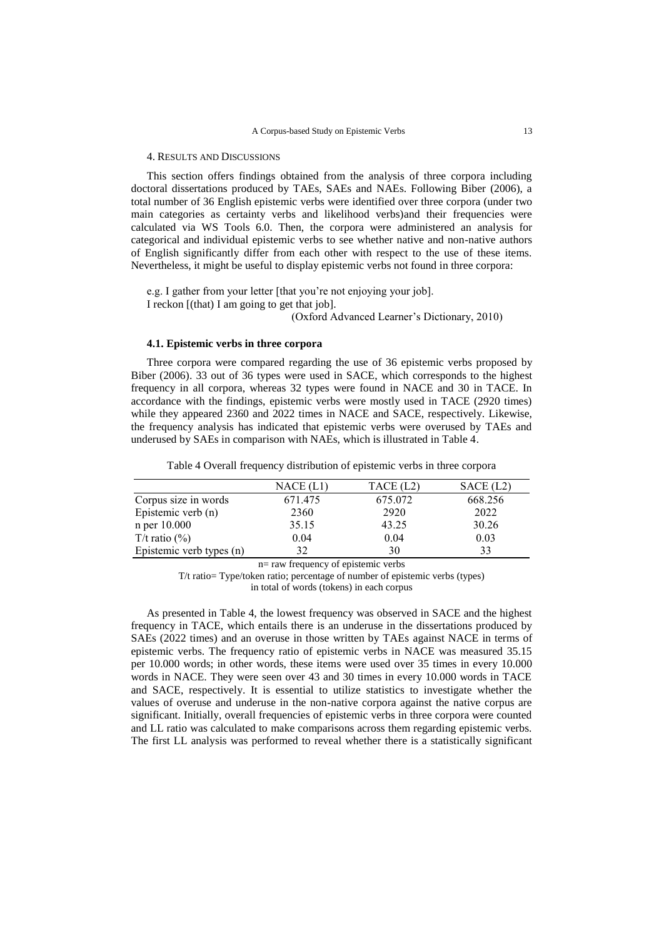#### 4. RESULTS AND DISCUSSIONS

This section offers findings obtained from the analysis of three corpora including doctoral dissertations produced by TAEs, SAEs and NAEs. Following Biber (2006), a total number of 36 English epistemic verbs were identified over three corpora (under two main categories as certainty verbs and likelihood verbs)and their frequencies were calculated via WS Tools 6.0. Then, the corpora were administered an analysis for categorical and individual epistemic verbs to see whether native and non-native authors of English significantly differ from each other with respect to the use of these items. Nevertheless, it might be useful to display epistemic verbs not found in three corpora:

e.g. I gather from your letter [that you're not enjoying your job]. I reckon [(that) I am going to get that job].

(Oxford Advanced Learner's Dictionary, 2010)

### **4.1. Epistemic verbs in three corpora**

Three corpora were compared regarding the use of 36 epistemic verbs proposed by Biber (2006). 33 out of 36 types were used in SACE, which corresponds to the highest frequency in all corpora, whereas 32 types were found in NACE and 30 in TACE. In accordance with the findings, epistemic verbs were mostly used in TACE (2920 times) while they appeared 2360 and 2022 times in NACE and SACE, respectively. Likewise, the frequency analysis has indicated that epistemic verbs were overused by TAEs and underused by SAEs in comparison with NAEs, which is illustrated in Table 4.

Table 4 Overall frequency distribution of epistemic verbs in three corpora

|                          | NACE (L1) | TACE (L2) | SACE (L2) |
|--------------------------|-----------|-----------|-----------|
| Corpus size in words     | 671.475   | 675.072   | 668.256   |
| Epistemic verb (n)       | 2360      | 2920      | 2022      |
| n per 10.000             | 35.15     | 43.25     | 30.26     |
| T/t ratio $(\%)$         | 0.04      | 0.04      | 0.03      |
| Epistemic verb types (n) | 32        | 30        | 33        |

n= raw frequency of epistemic verbs

T/t ratio= Type/token ratio; percentage of number of epistemic verbs (types) in total of words (tokens) in each corpus

As presented in Table 4, the lowest frequency was observed in SACE and the highest frequency in TACE, which entails there is an underuse in the dissertations produced by SAEs (2022 times) and an overuse in those written by TAEs against NACE in terms of epistemic verbs. The frequency ratio of epistemic verbs in NACE was measured 35.15 per 10.000 words; in other words, these items were used over 35 times in every 10.000 words in NACE. They were seen over 43 and 30 times in every 10.000 words in TACE and SACE, respectively. It is essential to utilize statistics to investigate whether the values of overuse and underuse in the non-native corpora against the native corpus are significant. Initially, overall frequencies of epistemic verbs in three corpora were counted and LL ratio was calculated to make comparisons across them regarding epistemic verbs. The first LL analysis was performed to reveal whether there is a statistically significant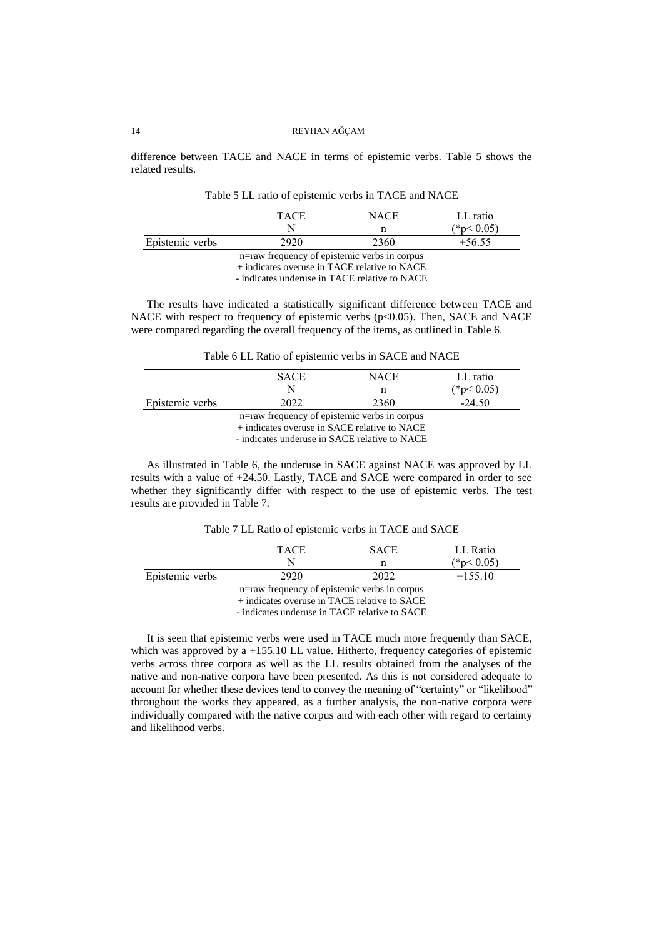difference between TACE and NACE in terms of epistemic verbs. Table 5 shows the related results.

|                                                                                                              | <b>TACE</b> | NACE | LL ratio      |  |
|--------------------------------------------------------------------------------------------------------------|-------------|------|---------------|--|
|                                                                                                              |             |      | $*_{p}< 0.05$ |  |
| Epistemic verbs                                                                                              | 2920        | 2360 | +56.55        |  |
| n=raw frequency of epistemic verbs in corpus<br>$\frac{1}{2}$ indicates example in $TACL$ relative to $NACL$ |             |      |               |  |

Table 5 LL ratio of epistemic verbs in TACE and NACE

+ indicates overuse in TACE relative to NACE

- indicates underuse in TACE relative to NACE

The results have indicated a statistically significant difference between TACE and NACE with respect to frequency of epistemic verbs (p<0.05). Then, SACE and NACE were compared regarding the overall frequency of the items, as outlined in Table 6.

| Table 6 LL Ratio of epistemic verbs in SACE and NACE |  |  |  |  |
|------------------------------------------------------|--|--|--|--|
|------------------------------------------------------|--|--|--|--|

|                                                                                                                       | <b>SACE</b> | NACE | LL ratio    |
|-----------------------------------------------------------------------------------------------------------------------|-------------|------|-------------|
|                                                                                                                       |             |      | $(*p<0.05)$ |
| Epistemic verbs                                                                                                       | າດາາ        | 2360 | $-24.50$    |
| n=raw frequency of epistemic verbs in corpus<br>$\frac{1}{2}$ indicates examse in $\mathcal{C}$ ACE moletime to MACE. |             |      |             |

+ indicates overuse in SACE relative to NACE

- indicates underuse in SACE relative to NACE

As illustrated in Table 6, the underuse in SACE against NACE was approved by LL results with a value of +24.50. Lastly, TACE and SACE were compared in order to see whether they significantly differ with respect to the use of epistemic verbs. The test results are provided in Table 7.

Table 7 LL Ratio of epistemic verbs in TACE and SACE

|                                                                    | TACE | <b>SACE</b> | LL Ratio        |  |
|--------------------------------------------------------------------|------|-------------|-----------------|--|
|                                                                    |      |             | $*_{p}< 0.05$ ) |  |
| Epistemic verbs                                                    | 2920 | 2022        | $+155.10$       |  |
| n=raw frequency of epistemic verbs in corpus<br>$\sim$ $\sim$<br>. |      |             |                 |  |

<sup>+</sup> indicates overuse in TACE relative to SACE

- indicates underuse in TACE relative to SACE

It is seen that epistemic verbs were used in TACE much more frequently than SACE, which was approved by a +155.10 LL value. Hitherto, frequency categories of epistemic verbs across three corpora as well as the LL results obtained from the analyses of the native and non-native corpora have been presented. As this is not considered adequate to account for whether these devices tend to convey the meaning of "certainty" or "likelihood" throughout the works they appeared, as a further analysis, the non-native corpora were individually compared with the native corpus and with each other with regard to certainty and likelihood verbs.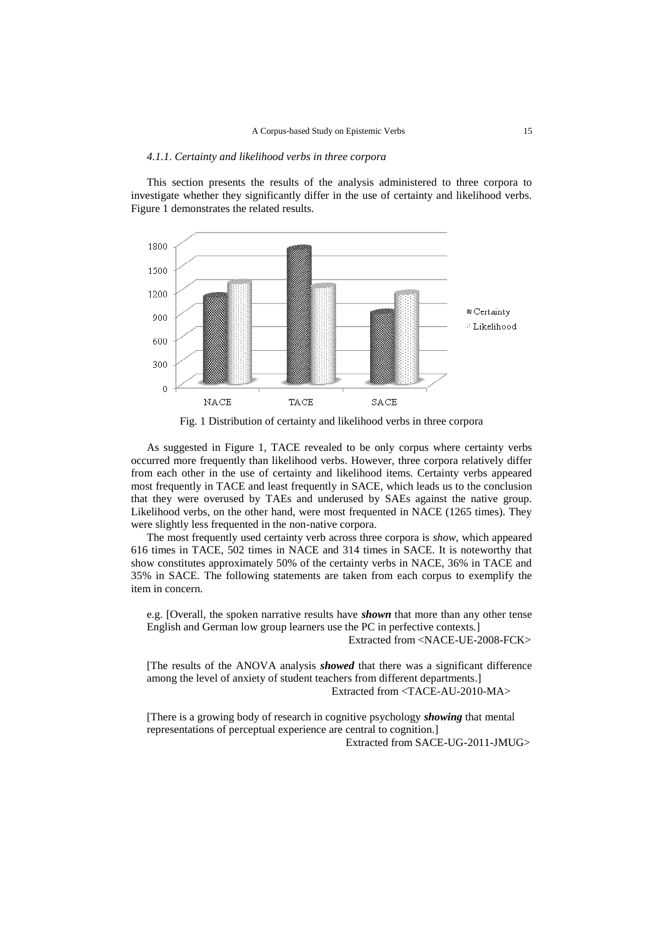#### *4.1.1. Certainty and likelihood verbs in three corpora*

This section presents the results of the analysis administered to three corpora to investigate whether they significantly differ in the use of certainty and likelihood verbs. Figure 1 demonstrates the related results.





As suggested in Figure 1, TACE revealed to be only corpus where certainty verbs occurred more frequently than likelihood verbs. However, three corpora relatively differ from each other in the use of certainty and likelihood items. Certainty verbs appeared most frequently in TACE and least frequently in SACE, which leads us to the conclusion that they were overused by TAEs and underused by SAEs against the native group. Likelihood verbs, on the other hand, were most frequented in NACE (1265 times). They were slightly less frequented in the non-native corpora.

The most frequently used certainty verb across three corpora is *show*, which appeared 616 times in TACE, 502 times in NACE and 314 times in SACE. It is noteworthy that show constitutes approximately 50% of the certainty verbs in NACE, 36% in TACE and 35% in SACE. The following statements are taken from each corpus to exemplify the item in concern.

e.g. [Overall, the spoken narrative results have *shown* that more than any other tense English and German low group learners use the PC in perfective contexts.]

Extracted from <NACE-UE-2008-FCK>

[The results of the ANOVA analysis *showed* that there was a significant difference among the level of anxiety of student teachers from different departments.] Extracted from <TACE-AU-2010-MA>

[There is a growing body of research in cognitive psychology *showing* that mental representations of perceptual experience are central to cognition.] Extracted from SACE-UG-2011-JMUG>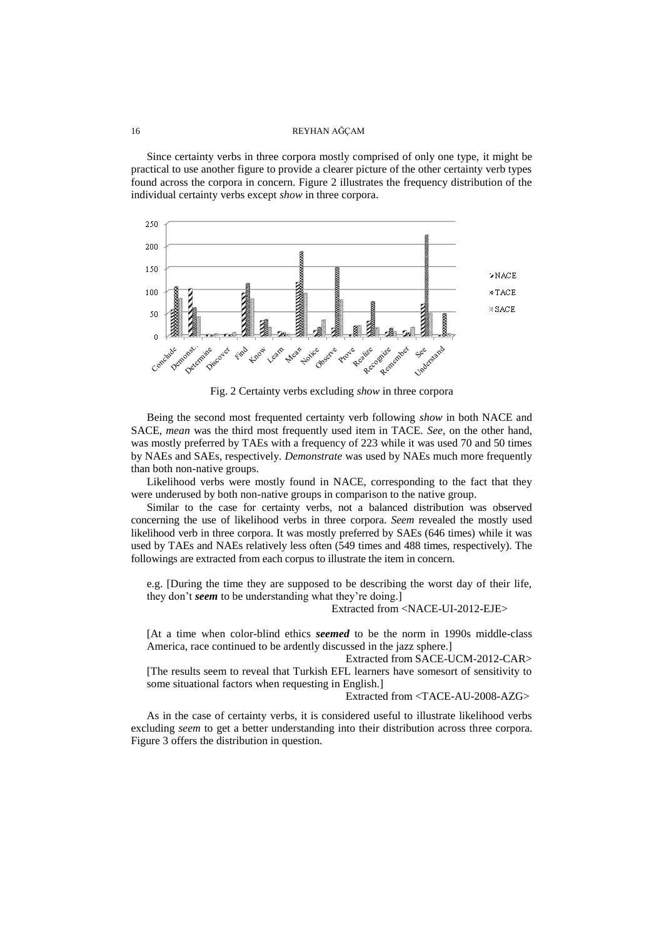Since certainty verbs in three corpora mostly comprised of only one type, it might be practical to use another figure to provide a clearer picture of the other certainty verb types found across the corpora in concern. Figure 2 illustrates the frequency distribution of the individual certainty verbs except *show* in three corpora.



Fig. 2 Certainty verbs excluding *show* in three corpora

Being the second most frequented certainty verb following *show* in both NACE and SACE, *mean* was the third most frequently used item in TACE. *See*, on the other hand, was mostly preferred by TAEs with a frequency of 223 while it was used 70 and 50 times by NAEs and SAEs, respectively. *Demonstrate* was used by NAEs much more frequently than both non-native groups.

Likelihood verbs were mostly found in NACE, corresponding to the fact that they were underused by both non-native groups in comparison to the native group.

Similar to the case for certainty verbs, not a balanced distribution was observed concerning the use of likelihood verbs in three corpora. *Seem* revealed the mostly used likelihood verb in three corpora. It was mostly preferred by SAEs (646 times) while it was used by TAEs and NAEs relatively less often (549 times and 488 times, respectively). The followings are extracted from each corpus to illustrate the item in concern.

e.g. [During the time they are supposed to be describing the worst day of their life, they don't *seem* to be understanding what they're doing.]

Extracted from <NACE-UI-2012-EJE>

[At a time when color-blind ethics *seemed* to be the norm in 1990s middle-class America, race continued to be ardently discussed in the jazz sphere.]

 Extracted from SACE-UCM-2012-CAR> [The results seem to reveal that Turkish EFL learners have somesort of sensitivity to some situational factors when requesting in English.]

Extracted from <TACE-AU-2008-AZG>

As in the case of certainty verbs, it is considered useful to illustrate likelihood verbs excluding *seem* to get a better understanding into their distribution across three corpora. Figure 3 offers the distribution in question.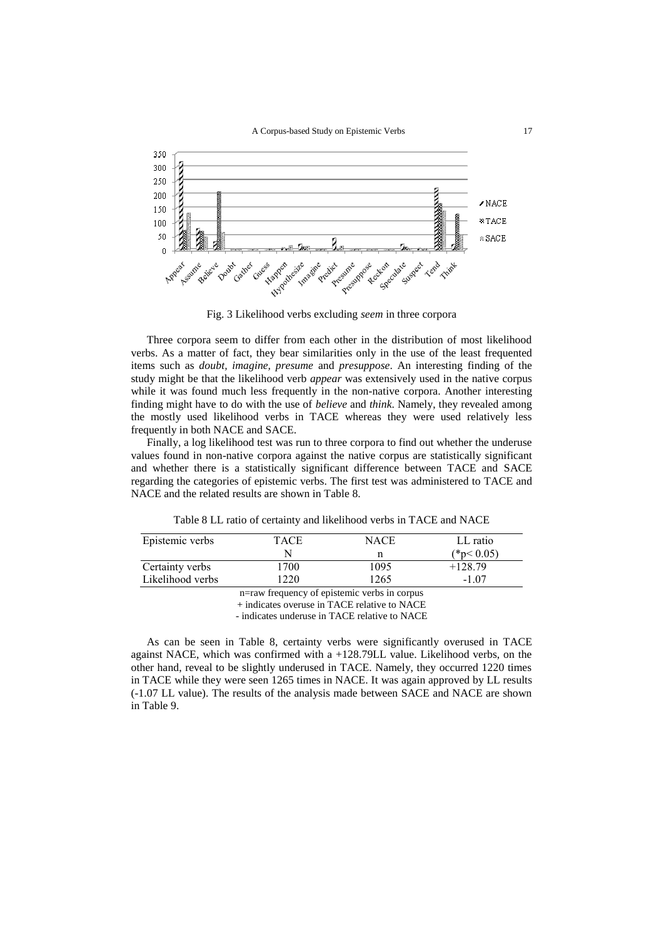

Fig. 3 Likelihood verbs excluding *seem* in three corpora

Three corpora seem to differ from each other in the distribution of most likelihood verbs. As a matter of fact, they bear similarities only in the use of the least frequented items such as *doubt, imagine, presume* and *presuppose*. An interesting finding of the study might be that the likelihood verb *appear* was extensively used in the native corpus while it was found much less frequently in the non-native corpora. Another interesting finding might have to do with the use of *believe* and *think*. Namely, they revealed among the mostly used likelihood verbs in TACE whereas they were used relatively less frequently in both NACE and SACE.

Finally, a log likelihood test was run to three corpora to find out whether the underuse values found in non-native corpora against the native corpus are statistically significant and whether there is a statistically significant difference between TACE and SACE regarding the categories of epistemic verbs. The first test was administered to TACE and NACE and the related results are shown in Table 8.

| Epistemic verbs  | TACE | NACE | LL ratio    |
|------------------|------|------|-------------|
|                  |      |      | $(*p<0.05)$ |
| Certainty verbs  | 1700 | 1095 | $+128.79$   |
| Likelihood verbs | 220  | 1265 | $-1.07$     |
|                  |      | .    |             |

Table 8 LL ratio of certainty and likelihood verbs in TACE and NACE

n=raw frequency of epistemic verbs in corpus

+ indicates overuse in TACE relative to NACE

- indicates underuse in TACE relative to NACE

As can be seen in Table 8, certainty verbs were significantly overused in TACE against NACE, which was confirmed with a +128.79LL value. Likelihood verbs, on the other hand, reveal to be slightly underused in TACE. Namely, they occurred 1220 times in TACE while they were seen 1265 times in NACE. It was again approved by LL results (-1.07 LL value). The results of the analysis made between SACE and NACE are shown in Table 9.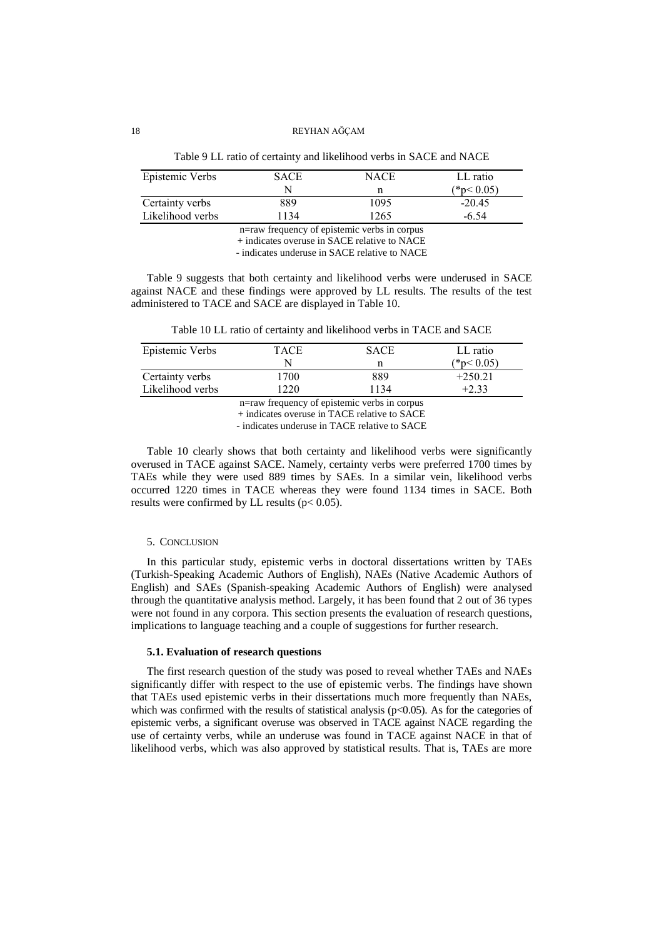| Twice the ratio of certainty and intentious veros in britch and ration |             |             |             |  |  |
|------------------------------------------------------------------------|-------------|-------------|-------------|--|--|
| Epistemic Verbs                                                        | <b>SACE</b> | <b>NACE</b> | LL ratio    |  |  |
|                                                                        | N           |             | $(*p<0.05)$ |  |  |
| Certainty verbs                                                        | 889         | 1095        | $-20.45$    |  |  |
| Likelihood verbs                                                       | 134         | 265         | $-6.54$     |  |  |

Table 9 LL ratio of certainty and likelihood verbs in SACE and NACE

n=raw frequency of epistemic verbs in corpus + indicates overuse in SACE relative to NACE

- indicates underuse in SACE relative to NACE

Table 9 suggests that both certainty and likelihood verbs were underused in SACE against NACE and these findings were approved by LL results. The results of the test administered to TACE and SACE are displayed in Table 10.

Table 10 LL ratio of certainty and likelihood verbs in TACE and SACE

| Epistemic Verbs                              | TACE | <b>SACE</b> | LL ratio    |  |  |
|----------------------------------------------|------|-------------|-------------|--|--|
|                                              |      |             | $(*p<0.05)$ |  |  |
| Certainty verbs                              | 1700 | 889         | $+250.21$   |  |  |
| Likelihood verbs<br>1220<br>1134<br>$+2.33$  |      |             |             |  |  |
| n=raw frequency of epistemic verbs in corpus |      |             |             |  |  |

+ indicates overuse in TACE relative to SACE

- indicates underuse in TACE relative to SACE

Table 10 clearly shows that both certainty and likelihood verbs were significantly overused in TACE against SACE. Namely, certainty verbs were preferred 1700 times by TAEs while they were used 889 times by SAEs. In a similar vein, likelihood verbs occurred 1220 times in TACE whereas they were found 1134 times in SACE. Both results were confirmed by LL results ( $p < 0.05$ ).

# 5. CONCLUSION

In this particular study, epistemic verbs in doctoral dissertations written by TAEs (Turkish-Speaking Academic Authors of English), NAEs (Native Academic Authors of English) and SAEs (Spanish-speaking Academic Authors of English) were analysed through the quantitative analysis method. Largely, it has been found that 2 out of 36 types were not found in any corpora. This section presents the evaluation of research questions, implications to language teaching and a couple of suggestions for further research.

# **5.1. Evaluation of research questions**

The first research question of the study was posed to reveal whether TAEs and NAEs significantly differ with respect to the use of epistemic verbs. The findings have shown that TAEs used epistemic verbs in their dissertations much more frequently than NAEs, which was confirmed with the results of statistical analysis  $(p<0.05)$ . As for the categories of epistemic verbs, a significant overuse was observed in TACE against NACE regarding the use of certainty verbs, while an underuse was found in TACE against NACE in that of likelihood verbs, which was also approved by statistical results. That is, TAEs are more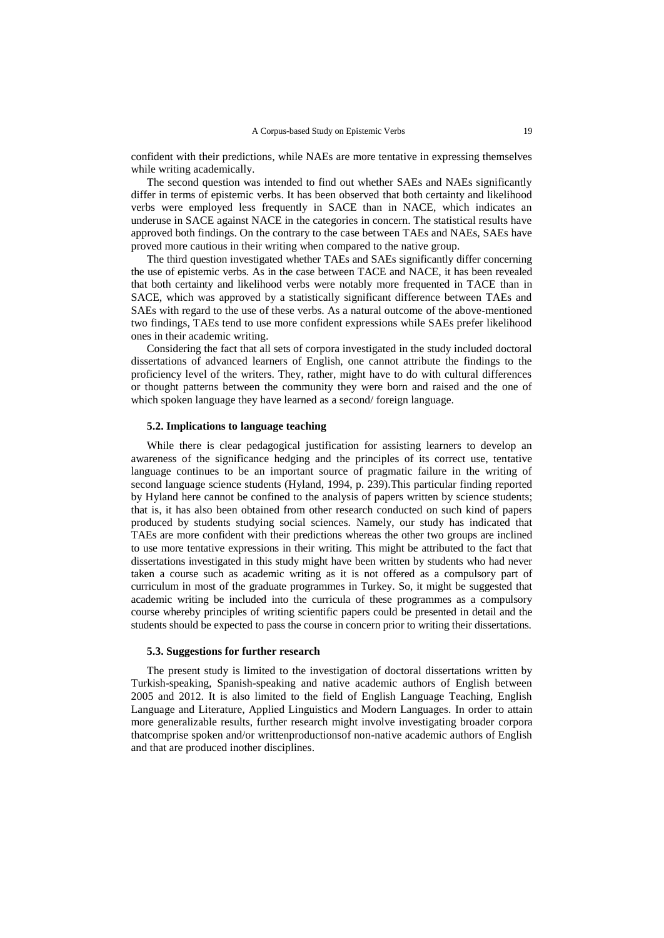confident with their predictions, while NAEs are more tentative in expressing themselves while writing academically.

The second question was intended to find out whether SAEs and NAEs significantly differ in terms of epistemic verbs. It has been observed that both certainty and likelihood verbs were employed less frequently in SACE than in NACE, which indicates an underuse in SACE against NACE in the categories in concern. The statistical results have approved both findings. On the contrary to the case between TAEs and NAEs, SAEs have proved more cautious in their writing when compared to the native group.

The third question investigated whether TAEs and SAEs significantly differ concerning the use of epistemic verbs. As in the case between TACE and NACE, it has been revealed that both certainty and likelihood verbs were notably more frequented in TACE than in SACE, which was approved by a statistically significant difference between TAEs and SAEs with regard to the use of these verbs. As a natural outcome of the above-mentioned two findings, TAEs tend to use more confident expressions while SAEs prefer likelihood ones in their academic writing.

Considering the fact that all sets of corpora investigated in the study included doctoral dissertations of advanced learners of English, one cannot attribute the findings to the proficiency level of the writers. They, rather, might have to do with cultural differences or thought patterns between the community they were born and raised and the one of which spoken language they have learned as a second/ foreign language.

# **5.2. Implications to language teaching**

While there is clear pedagogical justification for assisting learners to develop an awareness of the significance hedging and the principles of its correct use, tentative language continues to be an important source of pragmatic failure in the writing of second language science students (Hyland, 1994, p. 239).This particular finding reported by Hyland here cannot be confined to the analysis of papers written by science students; that is, it has also been obtained from other research conducted on such kind of papers produced by students studying social sciences. Namely, our study has indicated that TAEs are more confident with their predictions whereas the other two groups are inclined to use more tentative expressions in their writing. This might be attributed to the fact that dissertations investigated in this study might have been written by students who had never taken a course such as academic writing as it is not offered as a compulsory part of curriculum in most of the graduate programmes in Turkey. So, it might be suggested that academic writing be included into the curricula of these programmes as a compulsory course whereby principles of writing scientific papers could be presented in detail and the students should be expected to pass the course in concern prior to writing their dissertations.

## **5.3. Suggestions for further research**

The present study is limited to the investigation of doctoral dissertations written by Turkish-speaking, Spanish-speaking and native academic authors of English between 2005 and 2012. It is also limited to the field of English Language Teaching, English Language and Literature, Applied Linguistics and Modern Languages. In order to attain more generalizable results, further research might involve investigating broader corpora thatcomprise spoken and/or writtenproductionsof non-native academic authors of English and that are produced inother disciplines.